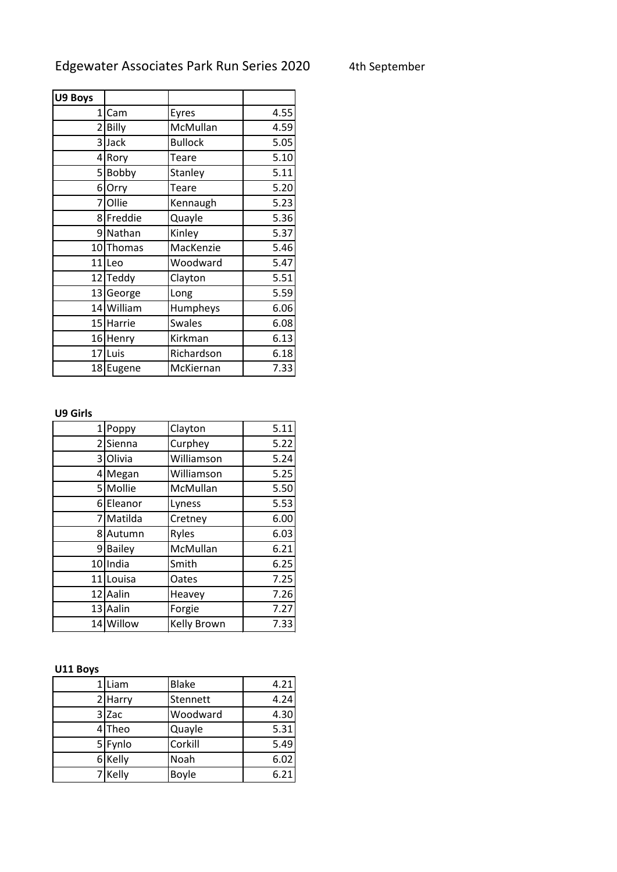| U9 Boys      |                   |                |      |
|--------------|-------------------|----------------|------|
| $\mathbf{1}$ | Cam               | Eyres          | 4.55 |
|              | 2 Billy           | McMullan       | 4.59 |
|              |                   |                |      |
|              | 3 Jack            | <b>Bullock</b> | 5.05 |
| 41           | Rory              | Teare          | 5.10 |
|              | 5 Bobby           | Stanley        | 5.11 |
|              | 6 Orry            | Teare          | 5.20 |
|              | 7 Ollie           | Kennaugh       | 5.23 |
|              | 8 Freddie         | Quayle         | 5.36 |
|              | 9 Nathan          | Kinley         | 5.37 |
|              | 10 Thomas         | MacKenzie      | 5.46 |
|              | 11 <sub>Leo</sub> | Woodward       | 5.47 |
|              | 12 Teddy          | Clayton        | 5.51 |
|              | 13 George         | Long           | 5.59 |
|              | 14 William        | Humpheys       | 6.06 |
|              | 15 Harrie         | <b>Swales</b>  | 6.08 |
|              | 16 Henry          | Kirkman        | 6.13 |
|              | 17 Luis           | Richardson     | 6.18 |
|              | 18 Eugene         | McKiernan      | 7.33 |

## **U9 Girls**

| 1              | Poppy         | Clayton     | 5.11 |
|----------------|---------------|-------------|------|
|                | 2 Sienna      | Curphey     | 5.22 |
|                | 3 Olivia      | Williamson  | 5.24 |
|                | 4 Megan       | Williamson  | 5.25 |
|                | 5 Mollie      | McMullan    | 5.50 |
| 6              | Eleanor       | Lyness      | 5.53 |
| $\overline{7}$ | Matilda       | Cretney     | 6.00 |
|                | 8 Autumn      | Ryles       | 6.03 |
| 9              | <b>Bailey</b> | McMullan    | 6.21 |
|                | 10 India      | Smith       | 6.25 |
|                | 11 Louisa     | Oates       | 7.25 |
|                | 12 Aalin      | Heavey      | 7.26 |
|                | 13 Aalin      | Forgie      | 7.27 |
|                | 14 Willow     | Kelly Brown | 7.33 |

## **U11 Boys**

| 1 Liam  | <b>Blake</b> | 4.21 |
|---------|--------------|------|
| 2 Harry | Stennett     | 4.24 |
| 3 Zac   | Woodward     | 4.30 |
| 4Theo   | Quayle       | 5.31 |
| 5 Fynlo | Corkill      | 5.49 |
| 6 Kelly | Noah         | 6.02 |
| 7 Kelly | <b>Boyle</b> | 6.21 |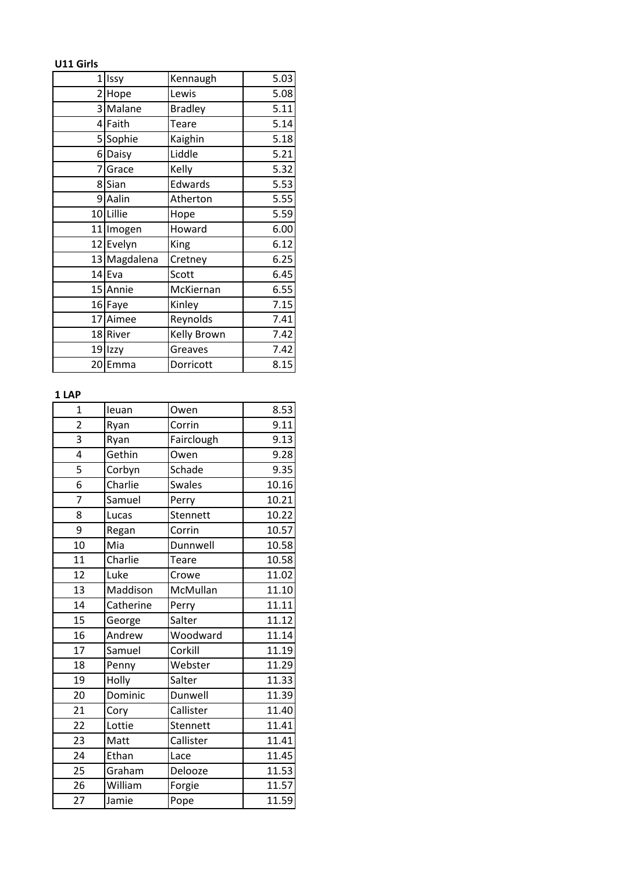**U11 Girls**

|   | 1 Issy       | Kennaugh       | 5.03 |
|---|--------------|----------------|------|
|   | 2 Hope       | Lewis          | 5.08 |
|   | 3 Malane     | <b>Bradley</b> | 5.11 |
|   | 4 Faith      | Teare          | 5.14 |
|   | 5 Sophie     | Kaighin        | 5.18 |
|   | 6 Daisy      | Liddle         | 5.21 |
| 7 | Grace        | Kelly          | 5.32 |
|   | 8 Sian       | Edwards        | 5.53 |
|   | 9 Aalin      | Atherton       | 5.55 |
|   | 10 Lillie    | Hope           | 5.59 |
|   | 11 Imogen    | Howard         | 6.00 |
|   | 12 Evelyn    | King           | 6.12 |
|   | 13 Magdalena | Cretney        | 6.25 |
|   | $14$ Eva     | Scott          | 6.45 |
|   | 15 Annie     | McKiernan      | 6.55 |
|   | 16 Faye      | Kinley         | 7.15 |
|   | 17 Aimee     | Reynolds       | 7.41 |
|   | 18 River     | Kelly Brown    | 7.42 |
|   | 19 Izzy      | Greaves        | 7.42 |
|   | 20 Emma      | Dorricott      | 8.15 |

## **1 LAP**

| $\mathbf{1}$   | leuan     | Owen          | 8.53  |
|----------------|-----------|---------------|-------|
| $\overline{c}$ | Ryan      | Corrin        | 9.11  |
| 3              | Ryan      | Fairclough    | 9.13  |
| 4              | Gethin    | Owen          | 9.28  |
| 5              | Corbyn    | Schade        | 9.35  |
| 6              | Charlie   | <b>Swales</b> | 10.16 |
| 7              | Samuel    | Perry         | 10.21 |
| 8              | Lucas     | Stennett      | 10.22 |
| 9              | Regan     | Corrin        | 10.57 |
| 10             | Mia       | Dunnwell      | 10.58 |
| 11             | Charlie   | Teare         | 10.58 |
| 12             | Luke      | Crowe         | 11.02 |
| 13             | Maddison  | McMullan      | 11.10 |
| 14             | Catherine | Perry         | 11.11 |
| 15             | George    | Salter        | 11.12 |
| 16             | Andrew    | Woodward      | 11.14 |
| 17             | Samuel    | Corkill       | 11.19 |
| 18             | Penny     | Webster       | 11.29 |
| 19             | Holly     | Salter        | 11.33 |
| 20             | Dominic   | Dunwell       | 11.39 |
| 21             | Cory      | Callister     | 11.40 |
| 22             | Lottie    | Stennett      | 11.41 |
| 23             | Matt      | Callister     | 11.41 |
| 24             | Ethan     | Lace          | 11.45 |
| 25             | Graham    | Delooze       | 11.53 |
| 26             | William   | Forgie        | 11.57 |
| 27             | Jamie     | Pope          | 11.59 |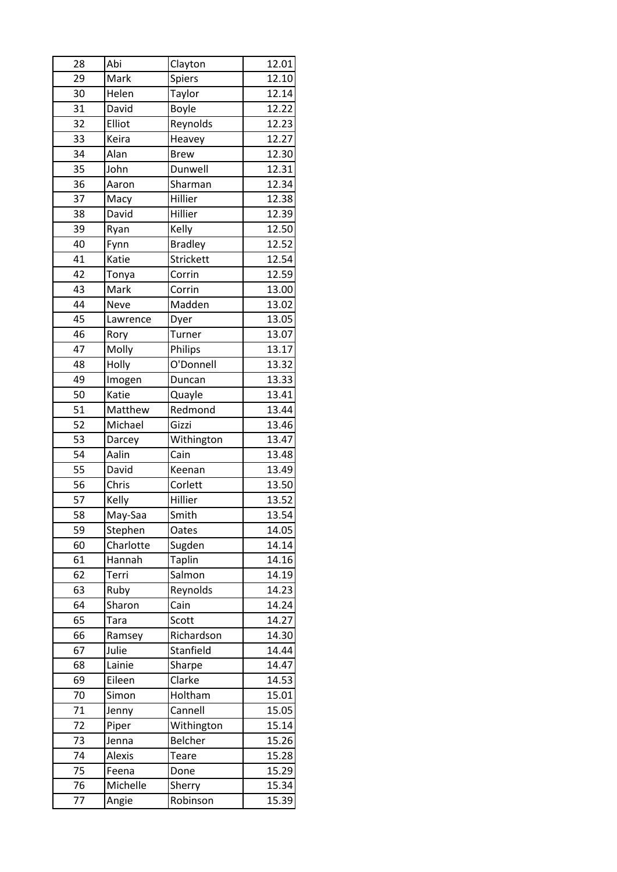| 28 | Abi         | Clayton        | 12.01 |
|----|-------------|----------------|-------|
| 29 | Mark        | Spiers         | 12.10 |
| 30 | Helen       | Taylor         | 12.14 |
| 31 | David       | Boyle          | 12.22 |
| 32 | Elliot      | Reynolds       | 12.23 |
| 33 | Keira       | Heavey         | 12.27 |
| 34 | Alan        | <b>Brew</b>    | 12.30 |
| 35 | John        | Dunwell        | 12.31 |
| 36 | Aaron       | Sharman        | 12.34 |
| 37 | Macy        | Hillier        | 12.38 |
| 38 | David       | Hillier        | 12.39 |
| 39 | Ryan        | Kelly          | 12.50 |
| 40 | Fynn        | <b>Bradley</b> | 12.52 |
| 41 | Katie       | Strickett      | 12.54 |
| 42 | Tonya       | Corrin         | 12.59 |
| 43 | Mark        | Corrin         | 13.00 |
| 44 | <b>Neve</b> | Madden         | 13.02 |
| 45 | Lawrence    | Dyer           | 13.05 |
| 46 | Rory        | Turner         | 13.07 |
| 47 | Molly       | Philips        | 13.17 |
| 48 | Holly       | O'Donnell      | 13.32 |
| 49 | Imogen      | Duncan         | 13.33 |
| 50 | Katie       | Quayle         | 13.41 |
| 51 | Matthew     | Redmond        | 13.44 |
| 52 | Michael     | Gizzi          | 13.46 |
| 53 | Darcey      | Withington     | 13.47 |
| 54 | Aalin       | Cain           | 13.48 |
| 55 | David       | Keenan         | 13.49 |
| 56 | Chris       | Corlett        | 13.50 |
| 57 | Kelly       | Hillier        | 13.52 |
| 58 | May-Saa     | Smith          | 13.54 |
| 59 | Stephen     | Oates          | 14.05 |
| 60 | Charlotte   | Sugden         | 14.14 |
| 61 | Hannah      | <b>Taplin</b>  | 14.16 |
| 62 | Terri       | Salmon         | 14.19 |
| 63 | Ruby        | Reynolds       | 14.23 |
| 64 | Sharon      | Cain           | 14.24 |
| 65 | <b>Tara</b> | Scott          | 14.27 |
| 66 | Ramsey      | Richardson     | 14.30 |
| 67 | Julie       | Stanfield      | 14.44 |
| 68 | Lainie      | Sharpe         | 14.47 |
| 69 | Eileen      | Clarke         | 14.53 |
| 70 | Simon       | Holtham        | 15.01 |
| 71 | Jenny       | Cannell        | 15.05 |
| 72 | Piper       | Withington     | 15.14 |
| 73 | Jenna       | Belcher        | 15.26 |
| 74 | Alexis      | Teare          | 15.28 |
| 75 | Feena       | Done           | 15.29 |
| 76 | Michelle    | Sherry         | 15.34 |
|    |             |                |       |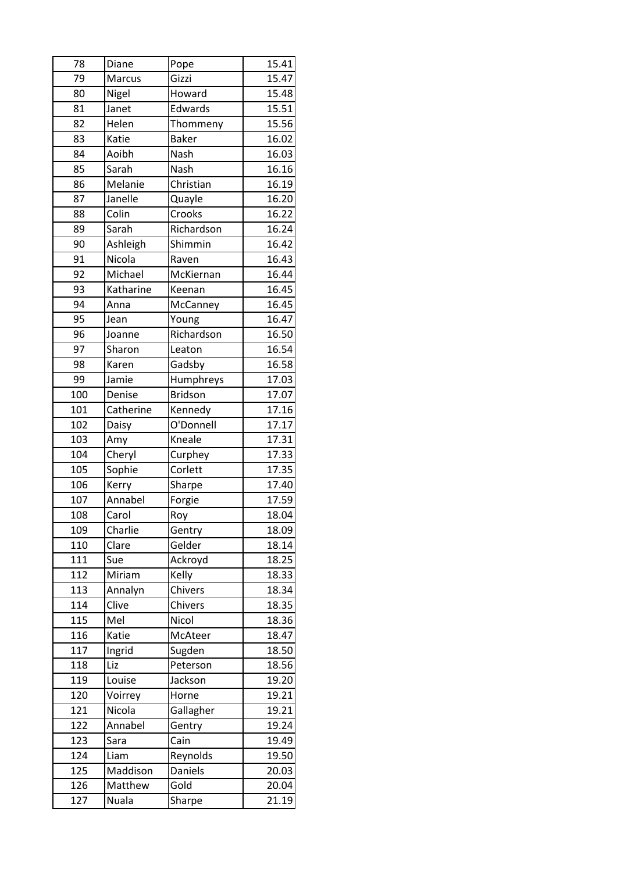| 78  | Diane     | Pope           | 15.41 |
|-----|-----------|----------------|-------|
| 79  | Marcus    | Gizzi          | 15.47 |
| 80  | Nigel     | Howard         | 15.48 |
| 81  | Janet     | Edwards        | 15.51 |
| 82  | Helen     | Thommeny       | 15.56 |
| 83  | Katie     | <b>Baker</b>   | 16.02 |
| 84  | Aoibh     | Nash           | 16.03 |
| 85  | Sarah     | Nash           | 16.16 |
| 86  | Melanie   | Christian      | 16.19 |
| 87  | Janelle   | Quayle         | 16.20 |
| 88  | Colin     | Crooks         | 16.22 |
| 89  | Sarah     | Richardson     | 16.24 |
| 90  | Ashleigh  | Shimmin        | 16.42 |
| 91  | Nicola    | Raven          | 16.43 |
| 92  | Michael   | McKiernan      | 16.44 |
| 93  | Katharine | Keenan         | 16.45 |
| 94  | Anna      | McCanney       | 16.45 |
| 95  | Jean      | Young          | 16.47 |
| 96  | Joanne    | Richardson     | 16.50 |
| 97  | Sharon    | Leaton         | 16.54 |
| 98  | Karen     | Gadsby         | 16.58 |
| 99  | Jamie     | Humphreys      | 17.03 |
| 100 | Denise    | <b>Bridson</b> | 17.07 |
| 101 | Catherine | Kennedy        | 17.16 |
| 102 | Daisy     | O'Donnell      | 17.17 |
| 103 | Amy       | Kneale         | 17.31 |
| 104 | Cheryl    | Curphey        | 17.33 |
| 105 | Sophie    | Corlett        | 17.35 |
| 106 | Kerry     | Sharpe         | 17.40 |
| 107 | Annabel   | Forgie         | 17.59 |
| 108 | Carol     | Roy            | 18.04 |
| 109 | Charlie   | Gentry         | 18.09 |
| 110 | Clare     | Gelder         | 18.14 |
| 111 | Sue       | Ackroyd        | 18.25 |
| 112 | Miriam    | Kelly          | 18.33 |
| 113 | Annalyn   | Chivers        | 18.34 |
| 114 | Clive     | Chivers        | 18.35 |
| 115 | Mel       | Nicol          | 18.36 |
| 116 | Katie     | McAteer        | 18.47 |
| 117 | Ingrid    | Sugden         | 18.50 |
| 118 | Liz       | Peterson       | 18.56 |
| 119 | Louise    | Jackson        | 19.20 |
| 120 | Voirrey   | Horne          | 19.21 |
| 121 | Nicola    | Gallagher      | 19.21 |
| 122 | Annabel   | Gentry         | 19.24 |
| 123 | Sara      | Cain           | 19.49 |
| 124 | Liam      | Reynolds       | 19.50 |
| 125 | Maddison  | Daniels        | 20.03 |
| 126 | Matthew   | Gold           | 20.04 |
| 127 | Nuala     | Sharpe         | 21.19 |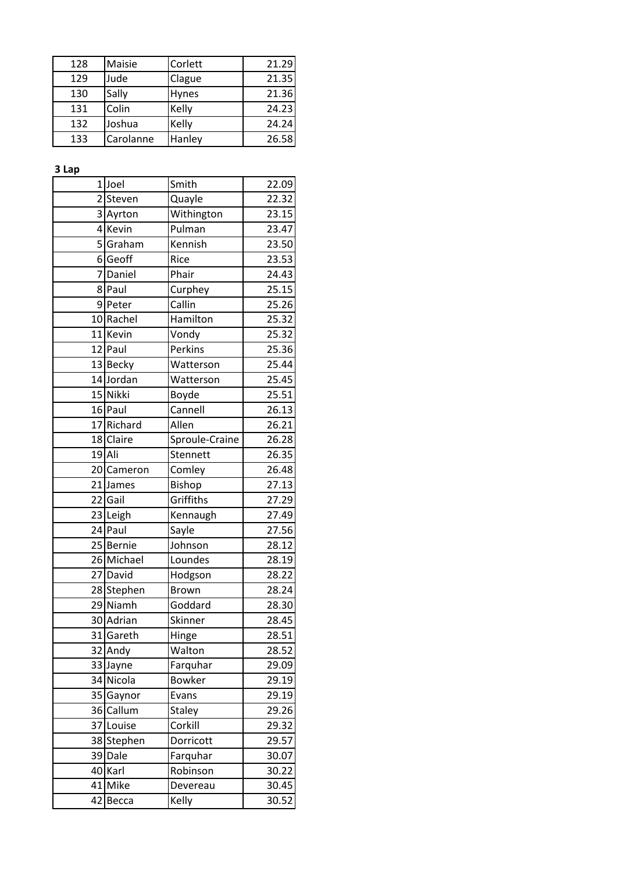| 128 | Maisie    | Corlett      | 21.29 |
|-----|-----------|--------------|-------|
| 129 | Jude      | Clague       | 21.35 |
| 130 | Sally     | <b>Hynes</b> | 21.36 |
| 131 | Colin     | Kelly        | 24.23 |
| 132 | Joshua    | Kelly        | 24.24 |
| 133 | Carolanne | Hanley       | 26.58 |

**3 Lap**

| Smith<br>$1$ Joel<br>$\overline{2}$<br>Steven<br>Quayle<br>Withington<br>3 Ayrton<br>4 Kevin<br>Pulman<br>5Graham<br>Kennish<br>6 Geoff<br>Rice<br>7<br>Daniel<br>Phair<br>8 Paul<br>Curphey<br>Callin<br>9Peter<br>Hamilton<br>10 Rachel<br>11 Kevin<br>Vondy<br>Perkins<br>12 Paul<br>13 Becky<br>Watterson<br>14 Jordan<br>Watterson<br>15 Nikki<br>Boyde<br>Cannell<br>16 Paul<br>17 Richard<br>Allen<br>18 Claire<br>Sproule-Craine<br>19 Ali<br>Stennett<br>20 Cameron<br>Comley<br>21 James<br>Bishop<br>Griffiths<br>22 Gail<br>23 Leigh<br>Kennaugh<br>24 Paul<br>Sayle<br>Johnson<br>25 Bernie<br>26 Michael<br>Loundes<br>27 David<br>Hodgson<br>28 Stephen<br>Brown<br>29 Niamh<br>Goddard<br>30 Adrian<br>Skinner<br>31 Gareth<br>Hinge<br>32<br>Andy<br>Walton<br>Farquhar<br>33 Jayne<br>34 Nicola<br><b>Bowker</b><br>35 Gaynor<br>Evans<br>36 Callum<br>Staley<br>37 Louise<br>Corkill<br>38 Stephen<br>Dorricott<br>39 Dale<br>Farquhar<br>40 Karl<br>Robinson<br>41 Mike<br>Devereau |    |       |       |       |
|---------------------------------------------------------------------------------------------------------------------------------------------------------------------------------------------------------------------------------------------------------------------------------------------------------------------------------------------------------------------------------------------------------------------------------------------------------------------------------------------------------------------------------------------------------------------------------------------------------------------------------------------------------------------------------------------------------------------------------------------------------------------------------------------------------------------------------------------------------------------------------------------------------------------------------------------------------------------------------------------------------|----|-------|-------|-------|
|                                                                                                                                                                                                                                                                                                                                                                                                                                                                                                                                                                                                                                                                                                                                                                                                                                                                                                                                                                                                         |    |       |       | 22.09 |
|                                                                                                                                                                                                                                                                                                                                                                                                                                                                                                                                                                                                                                                                                                                                                                                                                                                                                                                                                                                                         |    |       |       | 22.32 |
|                                                                                                                                                                                                                                                                                                                                                                                                                                                                                                                                                                                                                                                                                                                                                                                                                                                                                                                                                                                                         |    |       |       | 23.15 |
|                                                                                                                                                                                                                                                                                                                                                                                                                                                                                                                                                                                                                                                                                                                                                                                                                                                                                                                                                                                                         |    |       |       | 23.47 |
|                                                                                                                                                                                                                                                                                                                                                                                                                                                                                                                                                                                                                                                                                                                                                                                                                                                                                                                                                                                                         |    |       |       | 23.50 |
|                                                                                                                                                                                                                                                                                                                                                                                                                                                                                                                                                                                                                                                                                                                                                                                                                                                                                                                                                                                                         |    |       |       | 23.53 |
|                                                                                                                                                                                                                                                                                                                                                                                                                                                                                                                                                                                                                                                                                                                                                                                                                                                                                                                                                                                                         |    |       |       | 24.43 |
|                                                                                                                                                                                                                                                                                                                                                                                                                                                                                                                                                                                                                                                                                                                                                                                                                                                                                                                                                                                                         |    |       |       | 25.15 |
|                                                                                                                                                                                                                                                                                                                                                                                                                                                                                                                                                                                                                                                                                                                                                                                                                                                                                                                                                                                                         |    |       |       | 25.26 |
|                                                                                                                                                                                                                                                                                                                                                                                                                                                                                                                                                                                                                                                                                                                                                                                                                                                                                                                                                                                                         |    |       |       | 25.32 |
|                                                                                                                                                                                                                                                                                                                                                                                                                                                                                                                                                                                                                                                                                                                                                                                                                                                                                                                                                                                                         |    |       |       | 25.32 |
|                                                                                                                                                                                                                                                                                                                                                                                                                                                                                                                                                                                                                                                                                                                                                                                                                                                                                                                                                                                                         |    |       |       | 25.36 |
|                                                                                                                                                                                                                                                                                                                                                                                                                                                                                                                                                                                                                                                                                                                                                                                                                                                                                                                                                                                                         |    |       |       | 25.44 |
|                                                                                                                                                                                                                                                                                                                                                                                                                                                                                                                                                                                                                                                                                                                                                                                                                                                                                                                                                                                                         |    |       |       | 25.45 |
|                                                                                                                                                                                                                                                                                                                                                                                                                                                                                                                                                                                                                                                                                                                                                                                                                                                                                                                                                                                                         |    |       |       | 25.51 |
|                                                                                                                                                                                                                                                                                                                                                                                                                                                                                                                                                                                                                                                                                                                                                                                                                                                                                                                                                                                                         |    |       |       | 26.13 |
|                                                                                                                                                                                                                                                                                                                                                                                                                                                                                                                                                                                                                                                                                                                                                                                                                                                                                                                                                                                                         |    |       |       | 26.21 |
|                                                                                                                                                                                                                                                                                                                                                                                                                                                                                                                                                                                                                                                                                                                                                                                                                                                                                                                                                                                                         |    |       |       | 26.28 |
|                                                                                                                                                                                                                                                                                                                                                                                                                                                                                                                                                                                                                                                                                                                                                                                                                                                                                                                                                                                                         |    |       |       | 26.35 |
|                                                                                                                                                                                                                                                                                                                                                                                                                                                                                                                                                                                                                                                                                                                                                                                                                                                                                                                                                                                                         |    |       |       | 26.48 |
|                                                                                                                                                                                                                                                                                                                                                                                                                                                                                                                                                                                                                                                                                                                                                                                                                                                                                                                                                                                                         |    |       |       | 27.13 |
|                                                                                                                                                                                                                                                                                                                                                                                                                                                                                                                                                                                                                                                                                                                                                                                                                                                                                                                                                                                                         |    |       |       | 27.29 |
|                                                                                                                                                                                                                                                                                                                                                                                                                                                                                                                                                                                                                                                                                                                                                                                                                                                                                                                                                                                                         |    |       |       | 27.49 |
|                                                                                                                                                                                                                                                                                                                                                                                                                                                                                                                                                                                                                                                                                                                                                                                                                                                                                                                                                                                                         |    |       |       | 27.56 |
|                                                                                                                                                                                                                                                                                                                                                                                                                                                                                                                                                                                                                                                                                                                                                                                                                                                                                                                                                                                                         |    |       |       | 28.12 |
|                                                                                                                                                                                                                                                                                                                                                                                                                                                                                                                                                                                                                                                                                                                                                                                                                                                                                                                                                                                                         |    |       |       | 28.19 |
|                                                                                                                                                                                                                                                                                                                                                                                                                                                                                                                                                                                                                                                                                                                                                                                                                                                                                                                                                                                                         |    |       |       | 28.22 |
|                                                                                                                                                                                                                                                                                                                                                                                                                                                                                                                                                                                                                                                                                                                                                                                                                                                                                                                                                                                                         |    |       |       | 28.24 |
|                                                                                                                                                                                                                                                                                                                                                                                                                                                                                                                                                                                                                                                                                                                                                                                                                                                                                                                                                                                                         |    |       |       | 28.30 |
|                                                                                                                                                                                                                                                                                                                                                                                                                                                                                                                                                                                                                                                                                                                                                                                                                                                                                                                                                                                                         |    |       |       | 28.45 |
|                                                                                                                                                                                                                                                                                                                                                                                                                                                                                                                                                                                                                                                                                                                                                                                                                                                                                                                                                                                                         |    |       |       | 28.51 |
|                                                                                                                                                                                                                                                                                                                                                                                                                                                                                                                                                                                                                                                                                                                                                                                                                                                                                                                                                                                                         |    |       |       | 28.52 |
|                                                                                                                                                                                                                                                                                                                                                                                                                                                                                                                                                                                                                                                                                                                                                                                                                                                                                                                                                                                                         |    |       |       | 29.09 |
|                                                                                                                                                                                                                                                                                                                                                                                                                                                                                                                                                                                                                                                                                                                                                                                                                                                                                                                                                                                                         |    |       |       | 29.19 |
|                                                                                                                                                                                                                                                                                                                                                                                                                                                                                                                                                                                                                                                                                                                                                                                                                                                                                                                                                                                                         |    |       |       | 29.19 |
|                                                                                                                                                                                                                                                                                                                                                                                                                                                                                                                                                                                                                                                                                                                                                                                                                                                                                                                                                                                                         |    |       |       | 29.26 |
|                                                                                                                                                                                                                                                                                                                                                                                                                                                                                                                                                                                                                                                                                                                                                                                                                                                                                                                                                                                                         |    |       |       | 29.32 |
|                                                                                                                                                                                                                                                                                                                                                                                                                                                                                                                                                                                                                                                                                                                                                                                                                                                                                                                                                                                                         |    |       |       | 29.57 |
|                                                                                                                                                                                                                                                                                                                                                                                                                                                                                                                                                                                                                                                                                                                                                                                                                                                                                                                                                                                                         |    |       |       | 30.07 |
|                                                                                                                                                                                                                                                                                                                                                                                                                                                                                                                                                                                                                                                                                                                                                                                                                                                                                                                                                                                                         |    |       |       | 30.22 |
|                                                                                                                                                                                                                                                                                                                                                                                                                                                                                                                                                                                                                                                                                                                                                                                                                                                                                                                                                                                                         |    |       |       | 30.45 |
|                                                                                                                                                                                                                                                                                                                                                                                                                                                                                                                                                                                                                                                                                                                                                                                                                                                                                                                                                                                                         | 42 | Becca | Kelly | 30.52 |